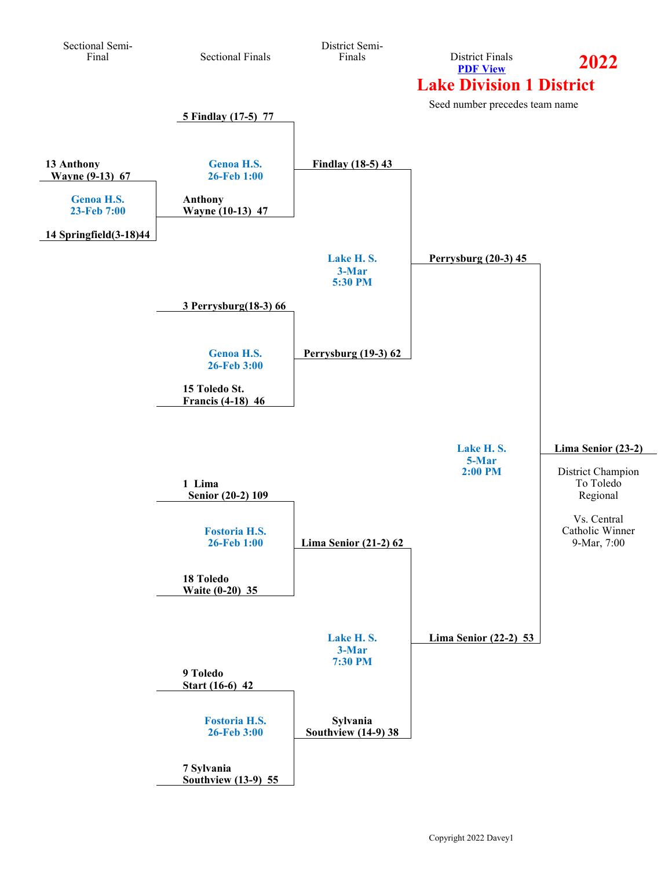